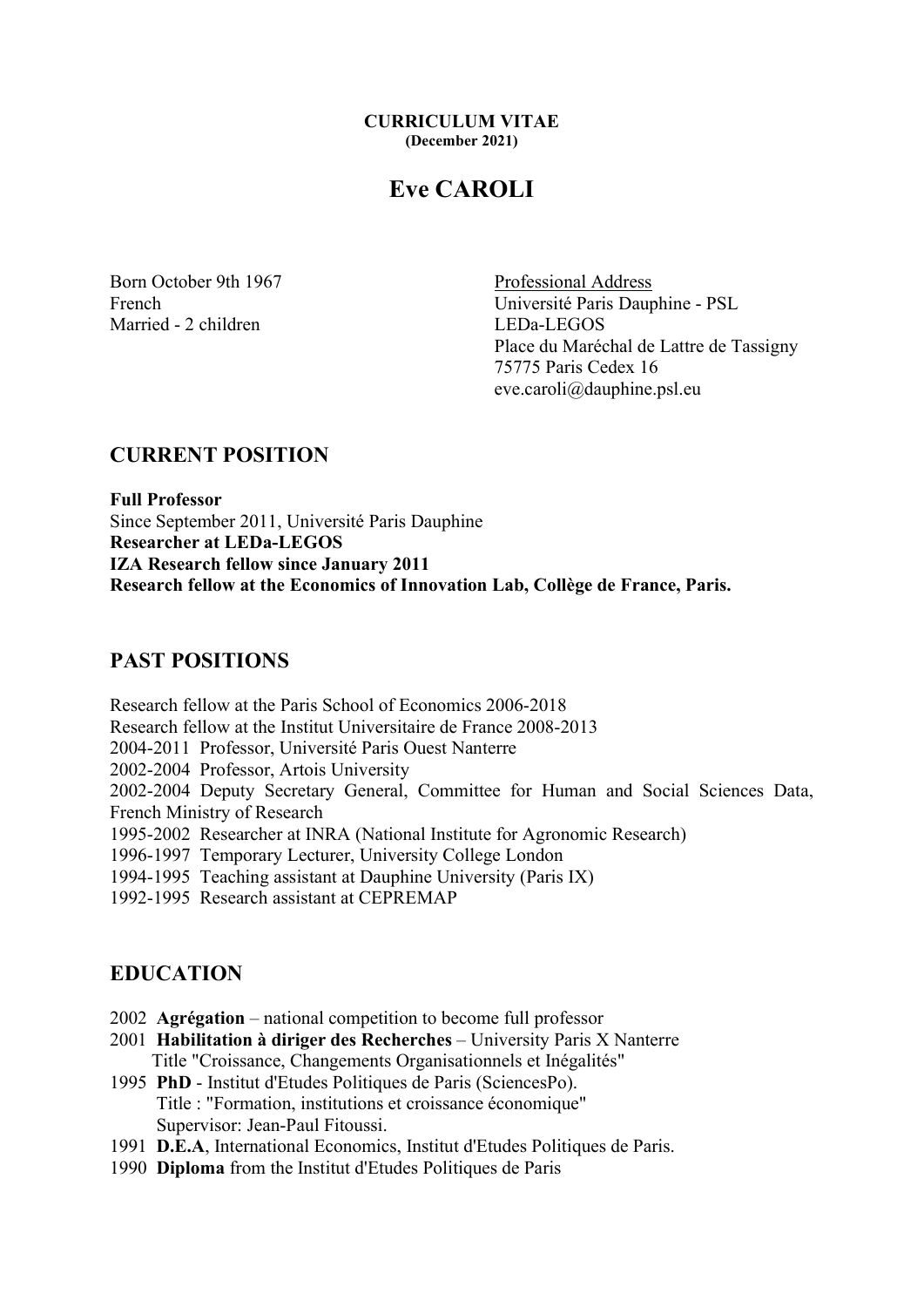#### CURRICULUM VITAE (December 2021)

# Eve CAROLI

Married - 2 children LEDa-LEGOS

Born October 9th 1967 Professional Address French Université Paris Dauphine - PSL Place du Maréchal de Lattre de Tassigny 75775 Paris Cedex 16 eve.caroli@dauphine.psl.eu

## CURRENT POSITION

Full Professor Since September 2011, Université Paris Dauphine Researcher at LEDa-LEGOS IZA Research fellow since January 2011 Research fellow at the Economics of Innovation Lab, Collège de France, Paris.

## PAST POSITIONS

Research fellow at the Paris School of Economics 2006-2018 Research fellow at the Institut Universitaire de France 2008-2013 2004-2011 Professor, Université Paris Ouest Nanterre 2002-2004 Professor, Artois University 2002-2004 Deputy Secretary General, Committee for Human and Social Sciences Data, French Ministry of Research 1995-2002 Researcher at INRA (National Institute for Agronomic Research) 1996-1997 Temporary Lecturer, University College London 1994-1995 Teaching assistant at Dauphine University (Paris IX) 1992-1995 Research assistant at CEPREMAP

## EDUCATION

- 2002 Agrégation national competition to become full professor
- 2001 Habilitation à diriger des Recherches University Paris X Nanterre Title "Croissance, Changements Organisationnels et Inégalités"
- 1995 PhD Institut d'Etudes Politiques de Paris (SciencesPo). Title : "Formation, institutions et croissance économique" Supervisor: Jean-Paul Fitoussi.
- 1991 D.E.A, International Economics, Institut d'Etudes Politiques de Paris.
- 1990 Diploma from the Institut d'Etudes Politiques de Paris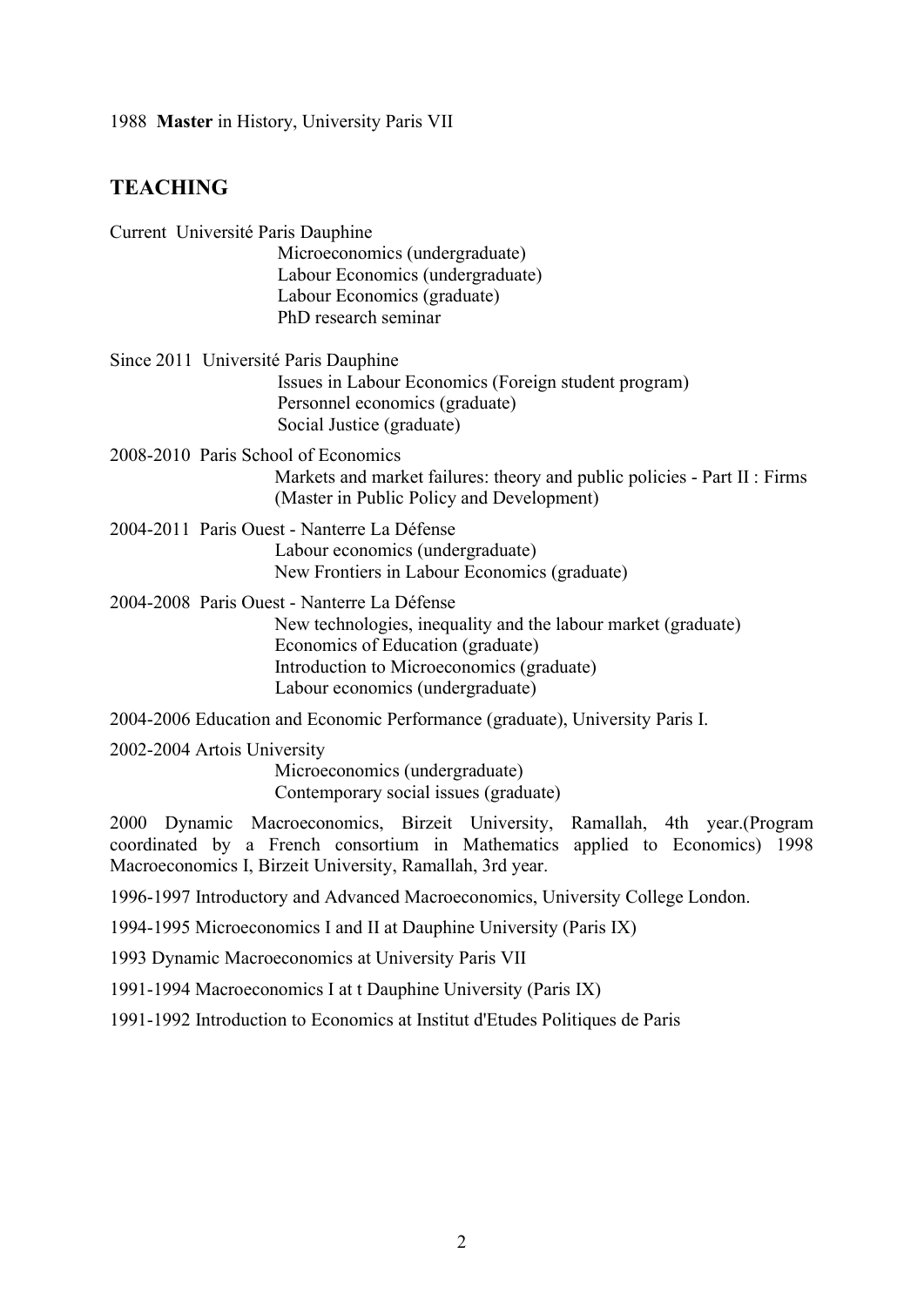1988 Master in History, University Paris VII

## **TEACHING**

| Current Université Paris Dauphine           |                                                                              |
|---------------------------------------------|------------------------------------------------------------------------------|
|                                             | Microeconomics (undergraduate)                                               |
|                                             | Labour Economics (undergraduate)                                             |
|                                             | Labour Economics (graduate)                                                  |
|                                             | PhD research seminar                                                         |
| Since 2011 Université Paris Dauphine        |                                                                              |
|                                             | Issues in Labour Economics (Foreign student program)                         |
|                                             | Personnel economics (graduate)                                               |
|                                             | Social Justice (graduate)                                                    |
| 2008-2010 Paris School of Economics         |                                                                              |
|                                             | Markets and market failures: theory and public policies - Part II : Firms    |
|                                             | (Master in Public Policy and Development)                                    |
| 2004-2011 Paris Ouest - Nanterre La Défense |                                                                              |
|                                             | Labour economics (undergraduate)                                             |
|                                             | New Frontiers in Labour Economics (graduate)                                 |
|                                             | 2004-2008 Paris Ouest - Nanterre La Défense                                  |
|                                             | New technologies, inequality and the labour market (graduate)                |
|                                             | Economics of Education (graduate)                                            |
|                                             | Introduction to Microeconomics (graduate)                                    |
|                                             | Labour economics (undergraduate)                                             |
|                                             | 2004-2006 Education and Economic Performance (graduate), University Paris I. |
|                                             |                                                                              |

2002-2004 Artois University

Microeconomics (undergraduate) Contemporary social issues (graduate)

2000 Dynamic Macroeconomics, Birzeit University, Ramallah, 4th year.(Program coordinated by a French consortium in Mathematics applied to Economics) 1998 Macroeconomics I, Birzeit University, Ramallah, 3rd year.

1996-1997 Introductory and Advanced Macroeconomics, University College London.

1994-1995 Microeconomics I and II at Dauphine University (Paris IX)

1993 Dynamic Macroeconomics at University Paris VII

1991-1994 Macroeconomics I at t Dauphine University (Paris IX)

1991-1992 Introduction to Economics at Institut d'Etudes Politiques de Paris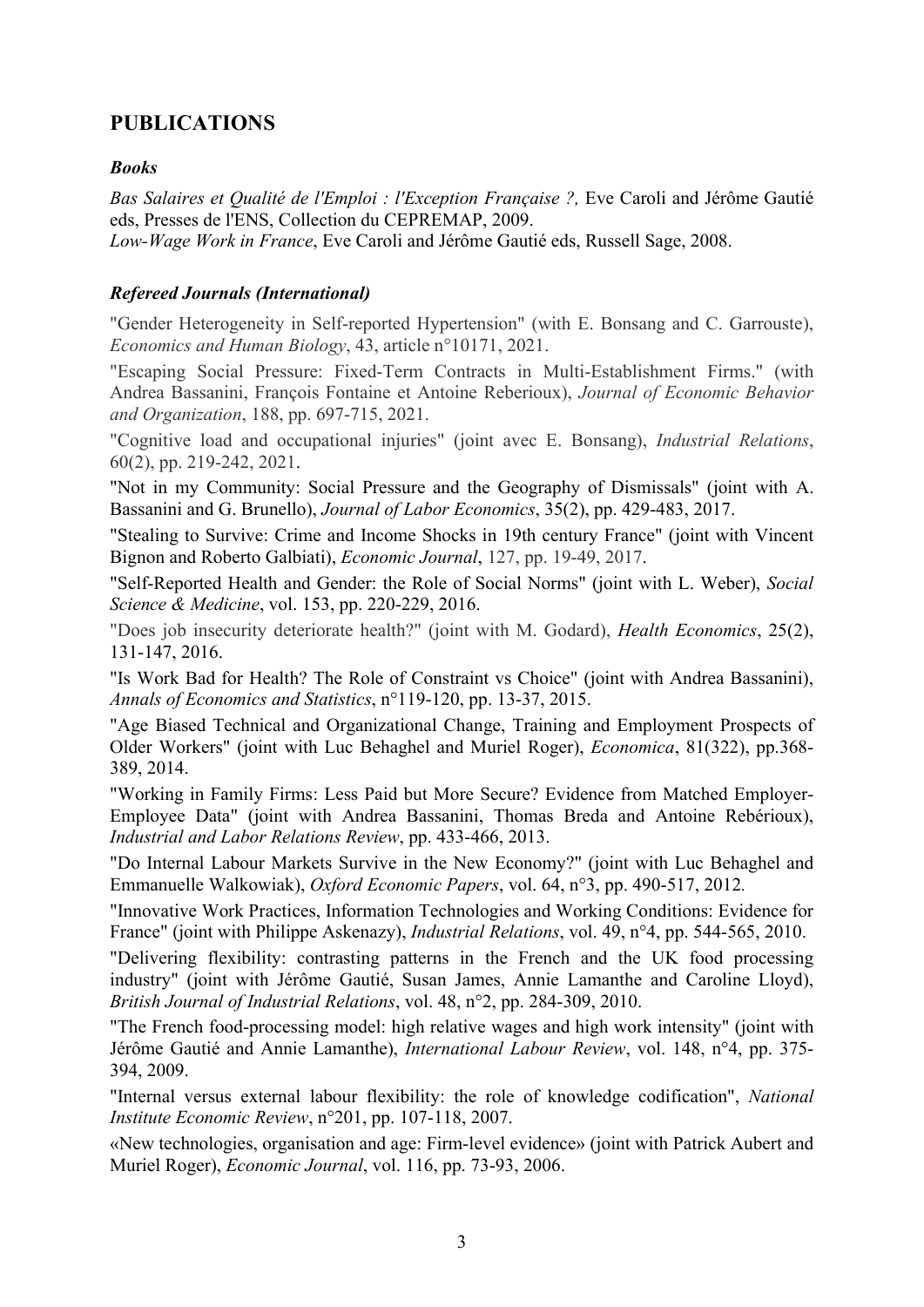## PUBLICATIONS

## Books

Bas Salaires et Qualité de l'Emploi : l'Exception Française ?, Eve Caroli and Jérôme Gautié eds, Presses de l'ENS, Collection du CEPREMAP, 2009.

Low-Wage Work in France, Eve Caroli and Jérôme Gautié eds, Russell Sage, 2008.

## Refereed Journals (International)

"Gender Heterogeneity in Self-reported Hypertension" (with E. Bonsang and C. Garrouste), Economics and Human Biology, 43, article n°10171, 2021.

"Escaping Social Pressure: Fixed-Term Contracts in Multi-Establishment Firms." (with Andrea Bassanini, François Fontaine et Antoine Reberioux), Journal of Economic Behavior and Organization, 188, pp. 697-715, 2021.

"Cognitive load and occupational injuries" (joint avec E. Bonsang), Industrial Relations, 60(2), pp. 219-242, 2021.

"Not in my Community: Social Pressure and the Geography of Dismissals" (joint with A. Bassanini and G. Brunello), Journal of Labor Economics, 35(2), pp. 429-483, 2017.

"Stealing to Survive: Crime and Income Shocks in 19th century France" (joint with Vincent Bignon and Roberto Galbiati), Economic Journal, 127, pp. 19-49, 2017.

"Self-Reported Health and Gender: the Role of Social Norms" (joint with L. Weber), Social Science & Medicine, vol. 153, pp. 220-229, 2016.

"Does job insecurity deteriorate health?" (joint with M. Godard), Health Economics, 25(2), 131-147, 2016.

"Is Work Bad for Health? The Role of Constraint vs Choice" (joint with Andrea Bassanini), Annals of Economics and Statistics, n°119-120, pp. 13-37, 2015.

"Age Biased Technical and Organizational Change, Training and Employment Prospects of Older Workers" (joint with Luc Behaghel and Muriel Roger), Economica, 81(322), pp.368- 389, 2014.

"Working in Family Firms: Less Paid but More Secure? Evidence from Matched Employer-Employee Data" (joint with Andrea Bassanini, Thomas Breda and Antoine Rebérioux), Industrial and Labor Relations Review, pp. 433-466, 2013.

"Do Internal Labour Markets Survive in the New Economy?" (joint with Luc Behaghel and Emmanuelle Walkowiak), Oxford Economic Papers, vol. 64, n°3, pp. 490-517, 2012.

"Innovative Work Practices, Information Technologies and Working Conditions: Evidence for France" (joint with Philippe Askenazy), Industrial Relations, vol. 49, n°4, pp. 544-565, 2010.

"Delivering flexibility: contrasting patterns in the French and the UK food processing industry" (joint with Jérôme Gautié, Susan James, Annie Lamanthe and Caroline Lloyd), British Journal of Industrial Relations, vol. 48, n°2, pp. 284-309, 2010.

"The French food-processing model: high relative wages and high work intensity" (joint with Jérôme Gautié and Annie Lamanthe), International Labour Review, vol. 148, n°4, pp. 375- 394, 2009.

"Internal versus external labour flexibility: the role of knowledge codification", National Institute Economic Review, n°201, pp. 107-118, 2007.

«New technologies, organisation and age: Firm-level evidence» (joint with Patrick Aubert and Muriel Roger), Economic Journal, vol. 116, pp. 73-93, 2006.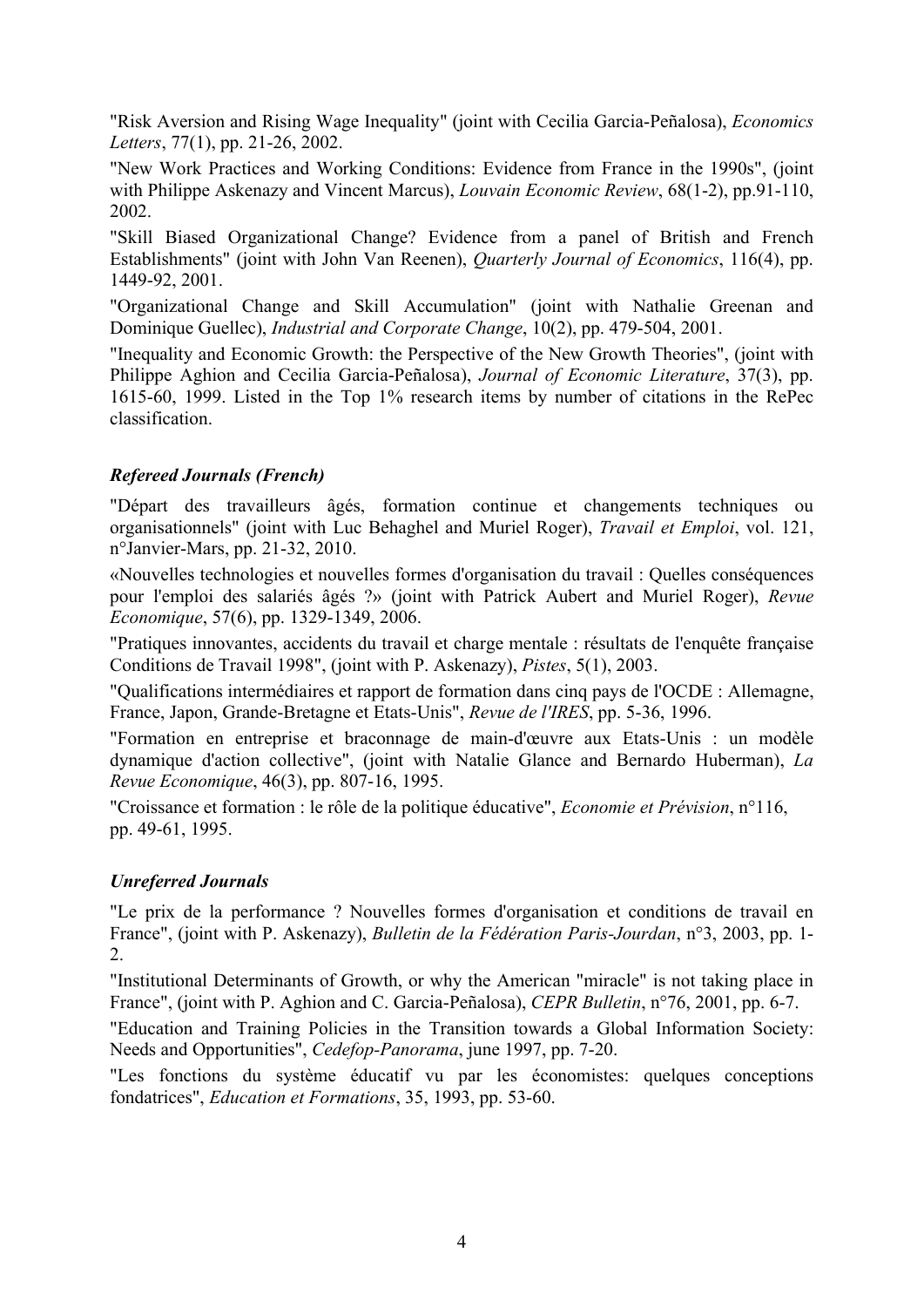"Risk Aversion and Rising Wage Inequality" (joint with Cecilia Garcia-Peñalosa), Economics Letters, 77(1), pp. 21-26, 2002.

"New Work Practices and Working Conditions: Evidence from France in the 1990s", (joint with Philippe Askenazy and Vincent Marcus), *Louvain Economic Review*, 68(1-2), pp.91-110, 2002.

"Skill Biased Organizational Change? Evidence from a panel of British and French Establishments" (joint with John Van Reenen), Quarterly Journal of Economics, 116(4), pp. 1449-92, 2001.

"Organizational Change and Skill Accumulation" (joint with Nathalie Greenan and Dominique Guellec), Industrial and Corporate Change, 10(2), pp. 479-504, 2001.

"Inequality and Economic Growth: the Perspective of the New Growth Theories", (joint with Philippe Aghion and Cecilia Garcia-Peñalosa), Journal of Economic Literature, 37(3), pp. 1615-60, 1999. Listed in the Top 1% research items by number of citations in the RePec classification.

## Refereed Journals (French)

"Départ des travailleurs âgés, formation continue et changements techniques ou organisationnels" (joint with Luc Behaghel and Muriel Roger), Travail et Emploi, vol. 121, n°Janvier-Mars, pp. 21-32, 2010.

«Nouvelles technologies et nouvelles formes d'organisation du travail : Quelles conséquences pour l'emploi des salariés âgés ?» (joint with Patrick Aubert and Muriel Roger), Revue Economique, 57(6), pp. 1329-1349, 2006.

"Pratiques innovantes, accidents du travail et charge mentale : résultats de l'enquête française Conditions de Travail 1998", (joint with P. Askenazy), Pistes, 5(1), 2003.

"Qualifications intermédiaires et rapport de formation dans cinq pays de l'OCDE : Allemagne, France, Japon, Grande-Bretagne et Etats-Unis", Revue de l'IRES, pp. 5-36, 1996.

"Formation en entreprise et braconnage de main-d'œuvre aux Etats-Unis : un modèle dynamique d'action collective", (joint with Natalie Glance and Bernardo Huberman), La Revue Economique, 46(3), pp. 807-16, 1995.

"Croissance et formation : le rôle de la politique éducative", *Economie et Prévision*, n°116, pp. 49-61, 1995.

## Unreferred Journals

"Le prix de la performance ? Nouvelles formes d'organisation et conditions de travail en France", (joint with P. Askenazy), Bulletin de la Fédération Paris-Jourdan, n°3, 2003, pp. 1- 2.

"Institutional Determinants of Growth, or why the American "miracle" is not taking place in France", (joint with P. Aghion and C. Garcia-Peñalosa), *CEPR Bulletin*, n°76, 2001, pp. 6-7.

"Education and Training Policies in the Transition towards a Global Information Society: Needs and Opportunities", Cedefop-Panorama, june 1997, pp. 7-20.

"Les fonctions du système éducatif vu par les économistes: quelques conceptions fondatrices", Education et Formations, 35, 1993, pp. 53-60.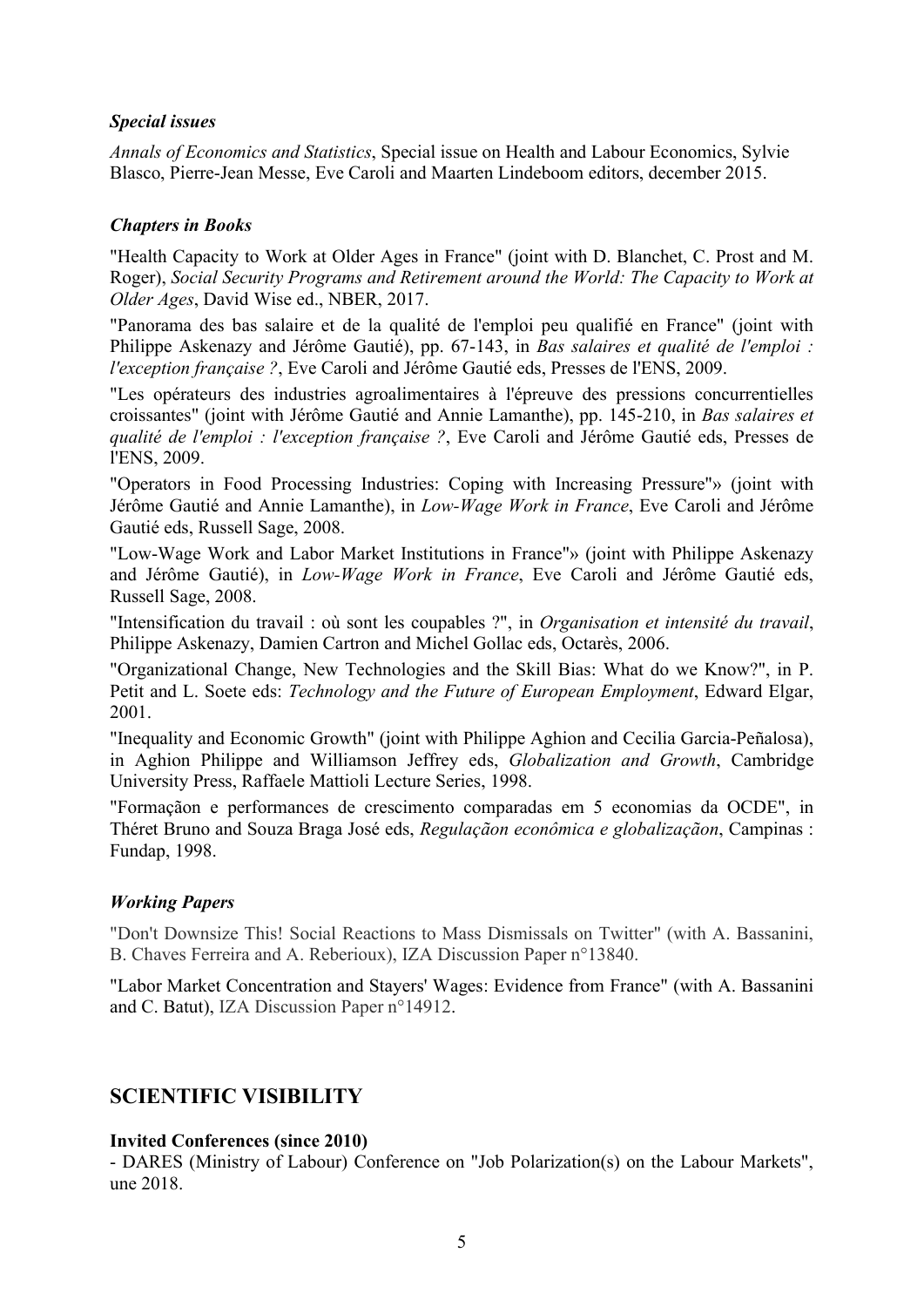### Special issues

Annals of Economics and Statistics, Special issue on Health and Labour Economics, Sylvie Blasco, Pierre-Jean Messe, Eve Caroli and Maarten Lindeboom editors, december 2015.

### Chapters in Books

"Health Capacity to Work at Older Ages in France" (joint with D. Blanchet, C. Prost and M. Roger), Social Security Programs and Retirement around the World: The Capacity to Work at Older Ages, David Wise ed., NBER, 2017.

"Panorama des bas salaire et de la qualité de l'emploi peu qualifié en France" (joint with Philippe Askenazy and Jérôme Gautié), pp. 67-143, in Bas salaires et qualité de l'emploi : l'exception française ?, Eve Caroli and Jérôme Gautié eds, Presses de l'ENS, 2009.

"Les opérateurs des industries agroalimentaires à l'épreuve des pressions concurrentielles croissantes" (joint with Jérôme Gautié and Annie Lamanthe), pp. 145-210, in Bas salaires et qualité de l'emploi : l'exception française ?, Eve Caroli and Jérôme Gautié eds, Presses de l'ENS, 2009.

"Operators in Food Processing Industries: Coping with Increasing Pressure"» (joint with Jérôme Gautié and Annie Lamanthe), in Low-Wage Work in France, Eve Caroli and Jérôme Gautié eds, Russell Sage, 2008.

"Low-Wage Work and Labor Market Institutions in France"» (joint with Philippe Askenazy and Jérôme Gautié), in Low-Wage Work in France, Eve Caroli and Jérôme Gautié eds, Russell Sage, 2008.

"Intensification du travail : où sont les coupables ?", in Organisation et intensité du travail, Philippe Askenazy, Damien Cartron and Michel Gollac eds, Octarès, 2006.

"Organizational Change, New Technologies and the Skill Bias: What do we Know?", in P. Petit and L. Soete eds: Technology and the Future of European Employment, Edward Elgar, 2001.

"Inequality and Economic Growth" (joint with Philippe Aghion and Cecilia Garcia-Peñalosa), in Aghion Philippe and Williamson Jeffrey eds, Globalization and Growth, Cambridge University Press, Raffaele Mattioli Lecture Series, 1998.

"Formaçãon e performances de crescimento comparadas em 5 economias da OCDE", in Théret Bruno and Souza Braga José eds, Regulaçãon econômica e globalizaçãon, Campinas : Fundap, 1998.

#### Working Papers

"Don't Downsize This! Social Reactions to Mass Dismissals on Twitter" (with A. Bassanini, B. Chaves Ferreira and A. Reberioux), IZA Discussion Paper n°13840.

"Labor Market Concentration and Stayers' Wages: Evidence from France" (with A. Bassanini and C. Batut), IZA Discussion Paper n°14912.

## SCIENTIFIC VISIBILITY

#### Invited Conferences (since 2010)

- DARES (Ministry of Labour) Conference on "Job Polarization(s) on the Labour Markets", une 2018.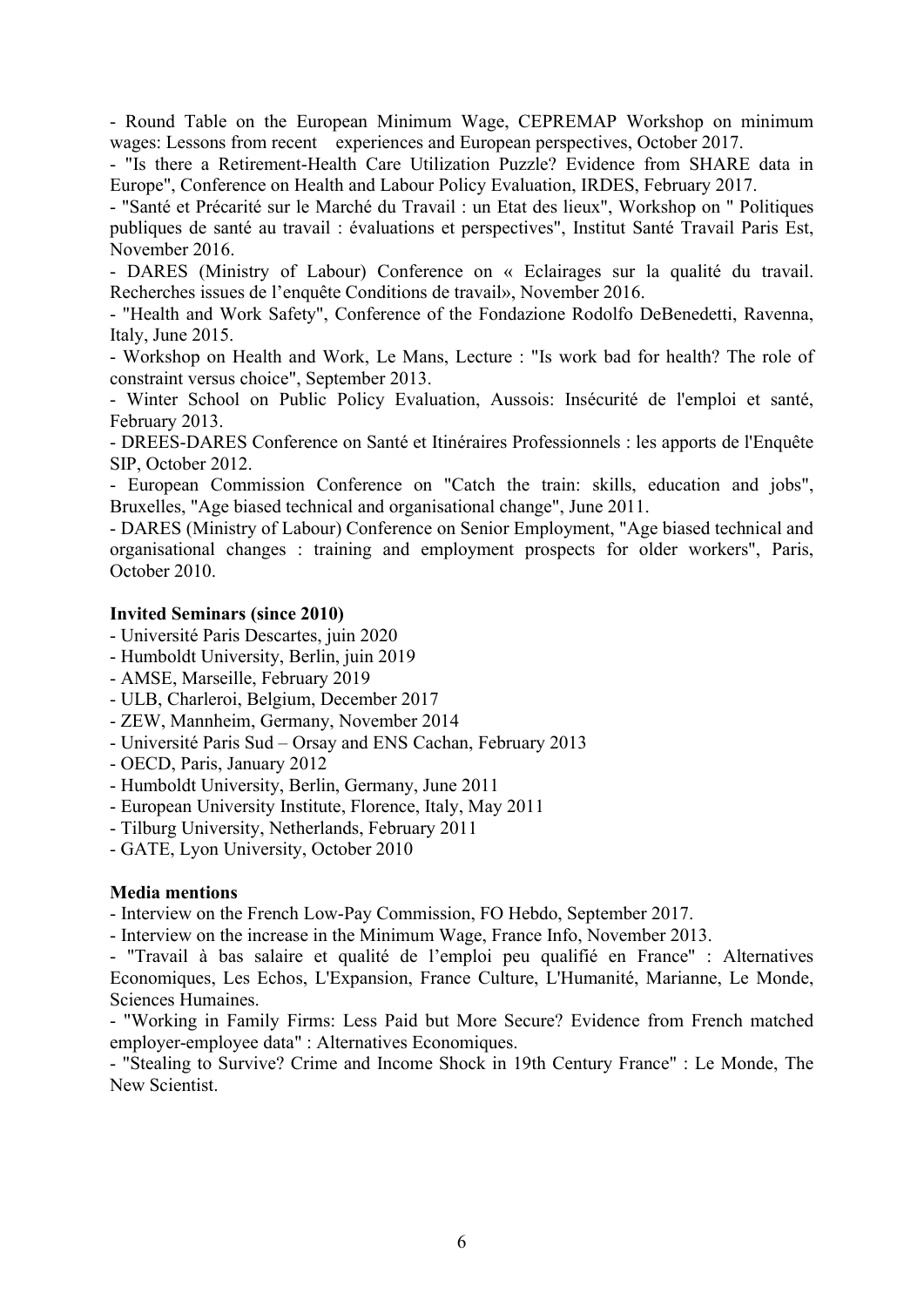- Round Table on the European Minimum Wage, CEPREMAP Workshop on minimum wages: Lessons from recent experiences and European perspectives, October 2017.

- "Is there a Retirement-Health Care Utilization Puzzle? Evidence from SHARE data in Europe", Conference on Health and Labour Policy Evaluation, IRDES, February 2017.

- "Santé et Précarité sur le Marché du Travail : un Etat des lieux", Workshop on " Politiques publiques de santé au travail : évaluations et perspectives", Institut Santé Travail Paris Est, November 2016.

- DARES (Ministry of Labour) Conference on « Eclairages sur la qualité du travail. Recherches issues de l'enquête Conditions de travail», November 2016.

- "Health and Work Safety", Conference of the Fondazione Rodolfo DeBenedetti, Ravenna, Italy, June 2015.

- Workshop on Health and Work, Le Mans, Lecture : "Is work bad for health? The role of constraint versus choice", September 2013.

- Winter School on Public Policy Evaluation, Aussois: Insécurité de l'emploi et santé, February 2013.

- DREES-DARES Conference on Santé et Itinéraires Professionnels : les apports de l'Enquête SIP, October 2012.

- European Commission Conference on "Catch the train: skills, education and jobs", Bruxelles, "Age biased technical and organisational change", June 2011.

- DARES (Ministry of Labour) Conference on Senior Employment, "Age biased technical and organisational changes : training and employment prospects for older workers", Paris, October 2010.

#### Invited Seminars (since 2010)

- Université Paris Descartes, juin 2020
- Humboldt University, Berlin, juin 2019
- AMSE, Marseille, February 2019
- ULB, Charleroi, Belgium, December 2017
- ZEW, Mannheim, Germany, November 2014
- Université Paris Sud Orsay and ENS Cachan, February 2013
- OECD, Paris, January 2012
- Humboldt University, Berlin, Germany, June 2011
- European University Institute, Florence, Italy, May 2011
- Tilburg University, Netherlands, February 2011
- GATE, Lyon University, October 2010

#### Media mentions

- Interview on the French Low-Pay Commission, FO Hebdo, September 2017.

- Interview on the increase in the Minimum Wage, France Info, November 2013.

- "Travail à bas salaire et qualité de l'emploi peu qualifié en France" : Alternatives Economiques, Les Echos, L'Expansion, France Culture, L'Humanité, Marianne, Le Monde, Sciences Humaines.

- "Working in Family Firms: Less Paid but More Secure? Evidence from French matched employer-employee data" : Alternatives Economiques.

- "Stealing to Survive? Crime and Income Shock in 19th Century France" : Le Monde, The New Scientist.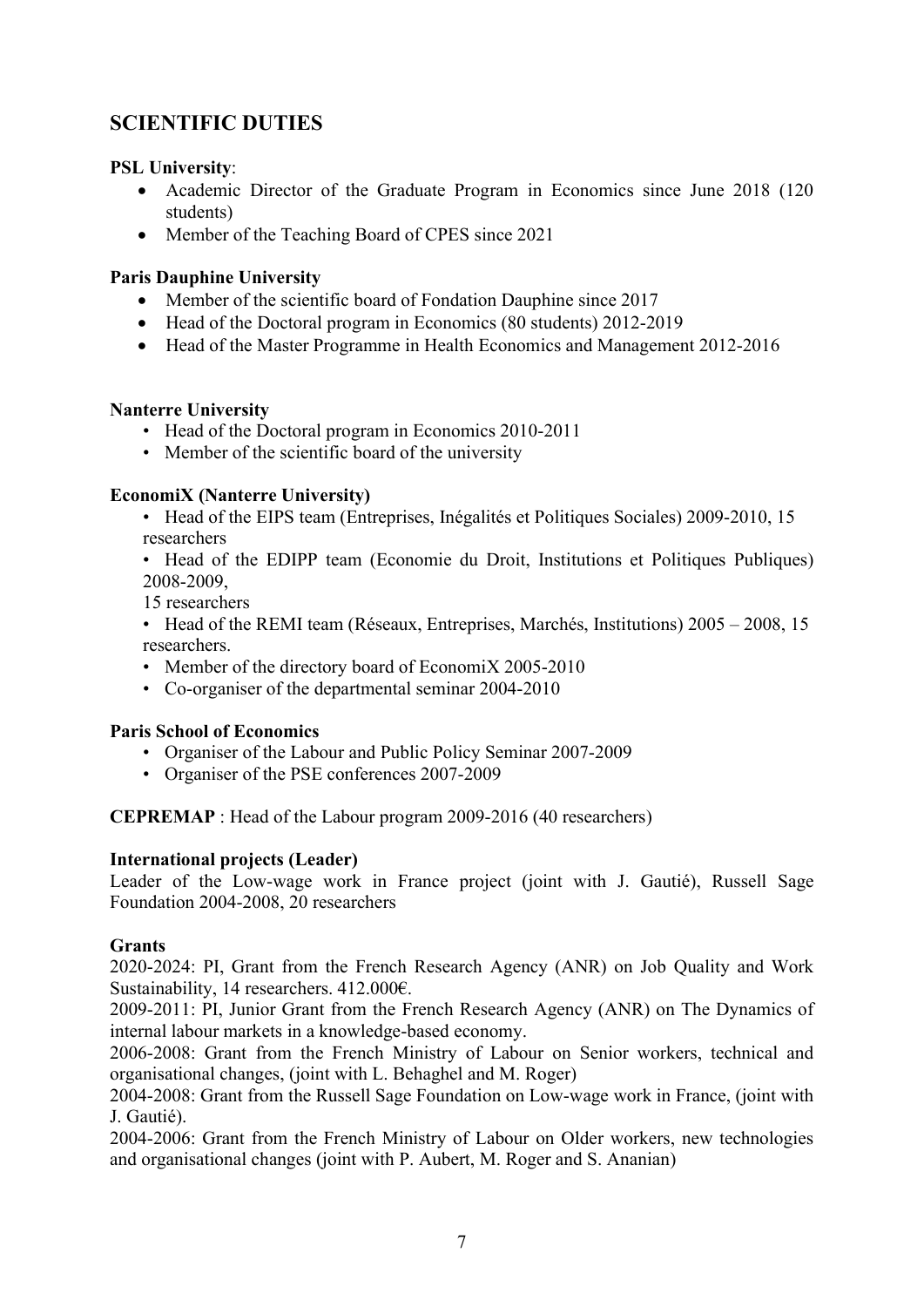## SCIENTIFIC DUTIES

## PSL University:

- Academic Director of the Graduate Program in Economics since June 2018 (120) students)
- Member of the Teaching Board of CPES since 2021

## Paris Dauphine University

- Member of the scientific board of Fondation Dauphine since 2017
- Head of the Doctoral program in Economics (80 students) 2012-2019
- Head of the Master Programme in Health Economics and Management 2012-2016

## Nanterre University

- Head of the Doctoral program in Economics 2010-2011
- Member of the scientific board of the university

## EconomiX (Nanterre University)

• Head of the EIPS team (Entreprises, Inégalités et Politiques Sociales) 2009-2010, 15 researchers

• Head of the EDIPP team (Economie du Droit, Institutions et Politiques Publiques) 2008-2009,

15 researchers

• Head of the REMI team (Réseaux, Entreprises, Marchés, Institutions) 2005 – 2008, 15 researchers.

- Member of the directory board of EconomiX 2005-2010
- Co-organiser of the departmental seminar 2004-2010

## Paris School of Economics

- Organiser of the Labour and Public Policy Seminar 2007-2009
- Organiser of the PSE conferences 2007-2009

CEPREMAP : Head of the Labour program 2009-2016 (40 researchers)

## International projects (Leader)

Leader of the Low-wage work in France project (joint with J. Gautié), Russell Sage Foundation 2004-2008, 20 researchers

## Grants

2020-2024: PI, Grant from the French Research Agency (ANR) on Job Quality and Work Sustainability, 14 researchers. 412.000€.

2009-2011: PI, Junior Grant from the French Research Agency (ANR) on The Dynamics of internal labour markets in a knowledge-based economy.

2006-2008: Grant from the French Ministry of Labour on Senior workers, technical and organisational changes, (joint with L. Behaghel and M. Roger)

2004-2008: Grant from the Russell Sage Foundation on Low-wage work in France, (joint with J. Gautié).

2004-2006: Grant from the French Ministry of Labour on Older workers, new technologies and organisational changes (joint with P. Aubert, M. Roger and S. Ananian)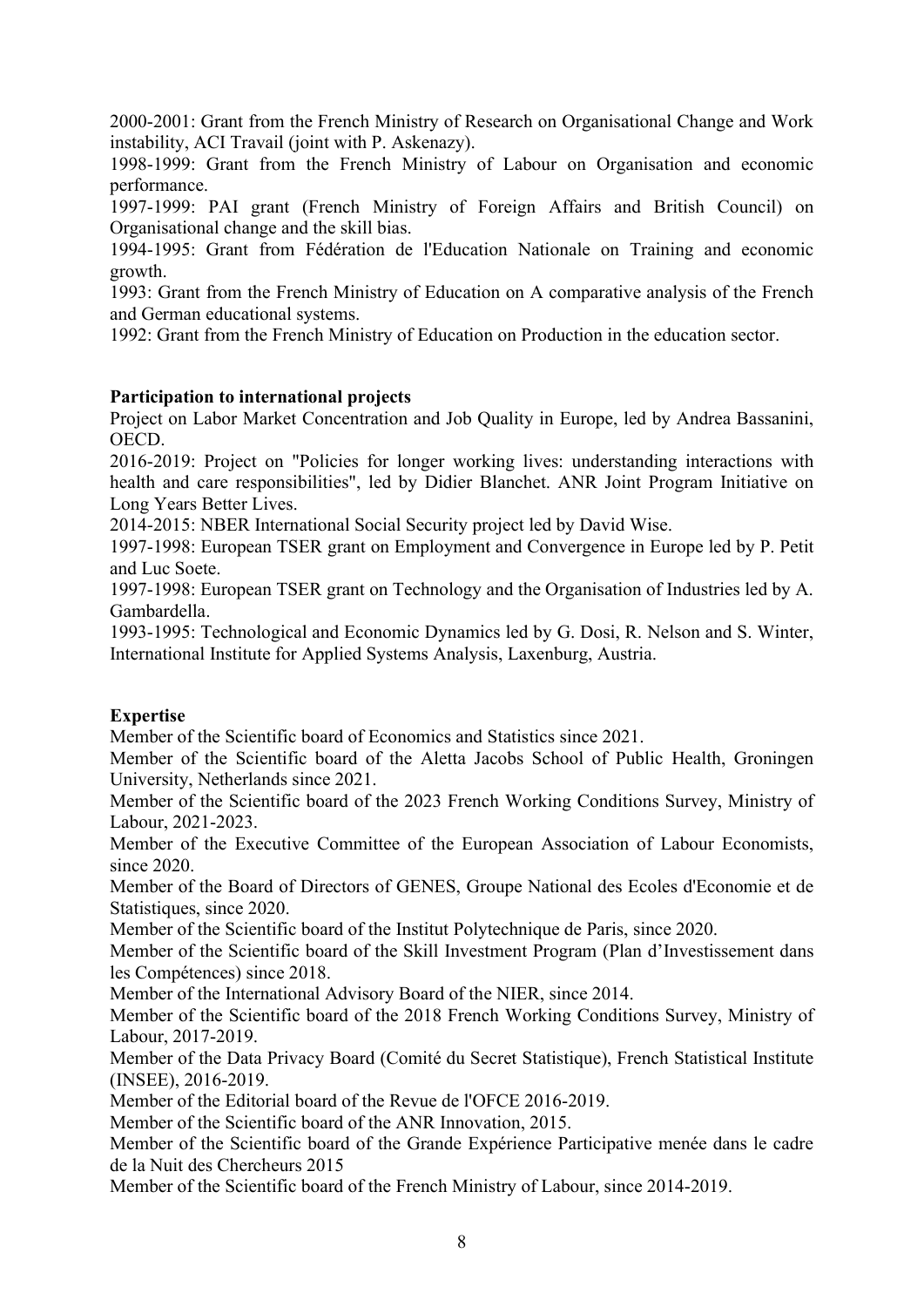2000-2001: Grant from the French Ministry of Research on Organisational Change and Work instability, ACI Travail (joint with P. Askenazy).

1998-1999: Grant from the French Ministry of Labour on Organisation and economic performance.

1997-1999: PAI grant (French Ministry of Foreign Affairs and British Council) on Organisational change and the skill bias.

1994-1995: Grant from Fédération de l'Education Nationale on Training and economic growth.

1993: Grant from the French Ministry of Education on A comparative analysis of the French and German educational systems.

1992: Grant from the French Ministry of Education on Production in the education sector.

## Participation to international projects

Project on Labor Market Concentration and Job Quality in Europe, led by Andrea Bassanini, OECD.

2016-2019: Project on "Policies for longer working lives: understanding interactions with health and care responsibilities", led by Didier Blanchet. ANR Joint Program Initiative on Long Years Better Lives.

2014-2015: NBER International Social Security project led by David Wise.

1997-1998: European TSER grant on Employment and Convergence in Europe led by P. Petit and Luc Soete.

1997-1998: European TSER grant on Technology and the Organisation of Industries led by A. Gambardella.

1993-1995: Technological and Economic Dynamics led by G. Dosi, R. Nelson and S. Winter, International Institute for Applied Systems Analysis, Laxenburg, Austria.

## Expertise

Member of the Scientific board of Economics and Statistics since 2021.

Member of the Scientific board of the Aletta Jacobs School of Public Health, Groningen University, Netherlands since 2021.

Member of the Scientific board of the 2023 French Working Conditions Survey, Ministry of Labour, 2021-2023.

Member of the Executive Committee of the European Association of Labour Economists, since 2020.

Member of the Board of Directors of GENES, Groupe National des Ecoles d'Economie et de Statistiques, since 2020.

Member of the Scientific board of the Institut Polytechnique de Paris, since 2020.

Member of the Scientific board of the Skill Investment Program (Plan d'Investissement dans les Compétences) since 2018.

Member of the International Advisory Board of the NIER, since 2014.

Member of the Scientific board of the 2018 French Working Conditions Survey, Ministry of Labour, 2017-2019.

Member of the Data Privacy Board (Comité du Secret Statistique), French Statistical Institute (INSEE), 2016-2019.

Member of the Editorial board of the Revue de l'OFCE 2016-2019.

Member of the Scientific board of the ANR Innovation, 2015.

Member of the Scientific board of the Grande Expérience Participative menée dans le cadre de la Nuit des Chercheurs 2015

Member of the Scientific board of the French Ministry of Labour, since 2014-2019.